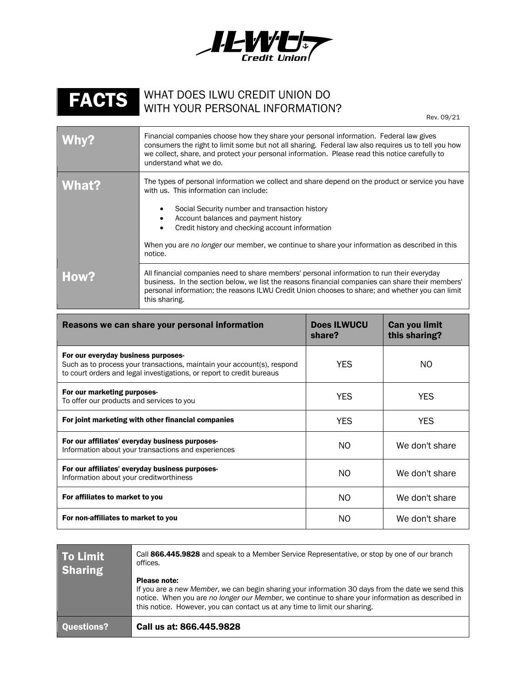

## FACTS WHAT DOES ILWU CREDIT UNION DO WITH YOUR PERSONAL INFORMATION?

Rev. 09/21

| Why?  | Financial companies choose how they share your personal information. Federal law gives<br>consumers the right to limit some but not all sharing. Federal law also requires us to tell you how<br>we collect, share, and protect your personal information. Please read this notice carefully to<br>understand what we do.                                                                           |  |
|-------|-----------------------------------------------------------------------------------------------------------------------------------------------------------------------------------------------------------------------------------------------------------------------------------------------------------------------------------------------------------------------------------------------------|--|
| What? | The types of personal information we collect and share depend on the product or service you have<br>with us. This information can include:<br>Social Security number and transaction history<br>Account balances and payment history<br>Credit history and checking account information<br>When you are no longer our member, we continue to share your information as described in this<br>notice. |  |
| How?  | All financial companies need to share members' personal information to run their everyday<br>business. In the section below, we list the reasons financial companies can share their members'<br>personal information; the reasons ILWU Credit Union chooses to share; and whether you can limit<br>this sharing.                                                                                   |  |

| Reasons we can share your personal information                                                                                                                                          | <b>Does ILWUCU</b><br>share? | Can you limit<br>this sharing? |
|-----------------------------------------------------------------------------------------------------------------------------------------------------------------------------------------|------------------------------|--------------------------------|
| For our everyday business purposes-<br>Such as to process your transactions, maintain your account(s), respond<br>to court orders and legal investigations, or report to credit bureaus | <b>YES</b>                   | NO.                            |
| For our marketing purposes-<br>To offer our products and services to you                                                                                                                | <b>YES</b>                   | <b>YES</b>                     |
| For joint marketing with other financial companies                                                                                                                                      | <b>YES</b>                   | <b>YES</b>                     |
| For our affiliates' everyday business purposes-<br>Information about your transactions and experiences                                                                                  | NO.                          | We don't share                 |
| For our affiliates' everyday business purposes-<br>Information about your creditworthiness                                                                                              | NO.                          | We don't share                 |
| For affiliates to market to you                                                                                                                                                         | NO.                          | We don't share                 |
| For non-affiliates to market to you                                                                                                                                                     | NO.                          | We don't share                 |

| <b>To Limit</b><br><b>Sharing</b> | Call 866.445.9828 and speak to a Member Service Representative, or stop by one of our branch<br>offices.                                                                                                                                                                                            |
|-----------------------------------|-----------------------------------------------------------------------------------------------------------------------------------------------------------------------------------------------------------------------------------------------------------------------------------------------------|
|                                   | Please note:<br>If you are a new Member, we can begin sharing your information 30 days from the date we send this<br>notice. When you are no longer our Member, we continue to share your information as described in<br>this notice. However, you can contact us at any time to limit our sharing. |
| <b>Questions?</b>                 | Call us at: 866,445,9828                                                                                                                                                                                                                                                                            |